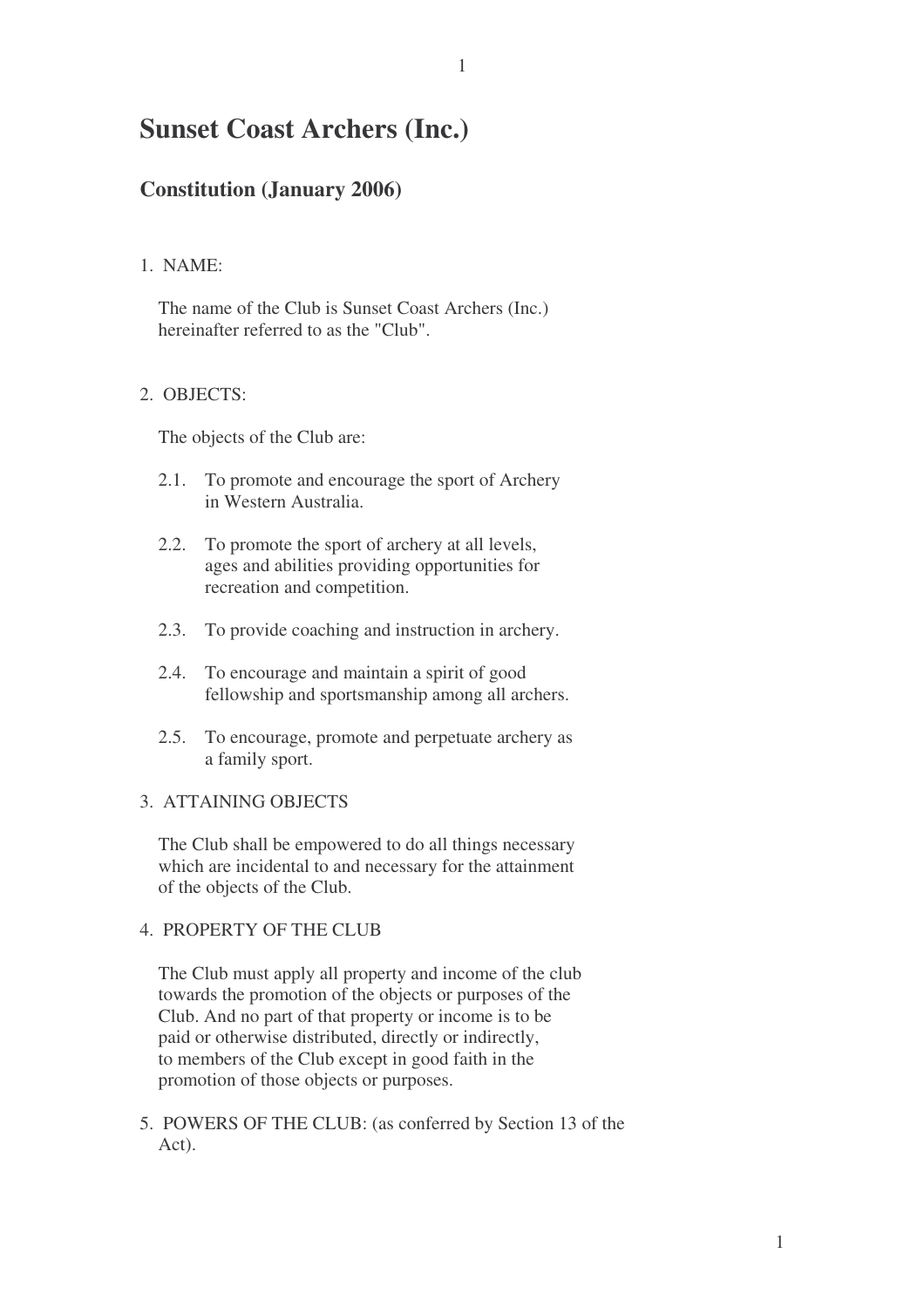# **Sunset Coast Archers (Inc.)**

# **Constitution (January 2006)**

#### 1. NAME:

The name of the Club is Sunset Coast Archers (Inc.) hereinafter referred to as the "Club".

# 2. OBJECTS:

The objects of the Club are:

- 2.1. To promote and encourage the sport of Archery in Western Australia.
- 2.2. To promote the sport of archery at all levels, ages and abilities providing opportunities for recreation and competition.
- 2.3. To provide coaching and instruction in archery.
- 2.4. To encourage and maintain a spirit of good fellowship and sportsmanship among all archers.
- 2.5. To encourage, promote and perpetuate archery as a family sport.

#### 3. ATTAINING OBJECTS

The Club shall be empowered to do all things necessary which are incidental to and necessary for the attainment of the objects of the Club.

#### 4. PROPERTY OF THE CLUB

The Club must apply all property and income of the club towards the promotion of the objects or purposes of the Club. And no part of that property or income is to be paid or otherwise distributed, directly or indirectly, to members of the Club except in good faith in the promotion of those objects or purposes.

5. POWERS OF THE CLUB: (as conferred by Section 13 of the Act).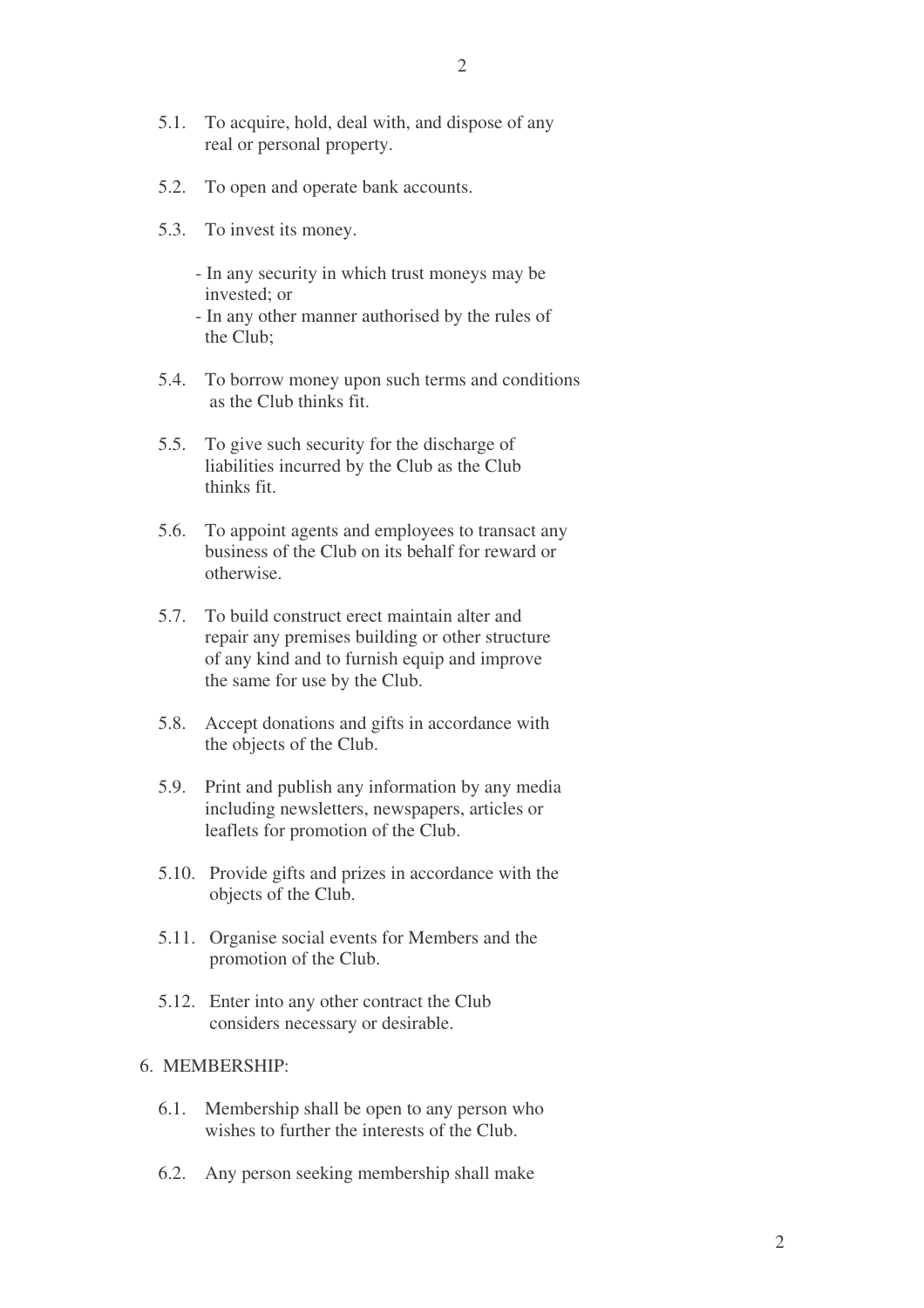- 5.1. To acquire, hold, deal with, and dispose of any real or personal property.
- 5.2. To open and operate bank accounts.
- 5.3. To invest its money.
	- In any security in which trust moneys may be invested; or
	- In any other manner authorised by the rules of the Club;
- 5.4. To borrow money upon such terms and conditions as the Club thinks fit.
- 5.5. To give such security for the discharge of liabilities incurred by the Club as the Club thinks fit.
- 5.6. To appoint agents and employees to transact any business of the Club on its behalf for reward or otherwise.
- 5.7. To build construct erect maintain alter and repair any premises building or other structure of any kind and to furnish equip and improve the same for use by the Club.
- 5.8. Accept donations and gifts in accordance with the objects of the Club.
- 5.9. Print and publish any information by any media including newsletters, newspapers, articles or leaflets for promotion of the Club.
- 5.10. Provide gifts and prizes in accordance with the objects of the Club.
- 5.11. Organise social events for Members and the promotion of the Club.
- 5.12. Enter into any other contract the Club considers necessary or desirable.

#### 6. MEMBERSHIP:

- 6.1. Membership shall be open to any person who wishes to further the interests of the Club.
- 6.2. Any person seeking membership shall make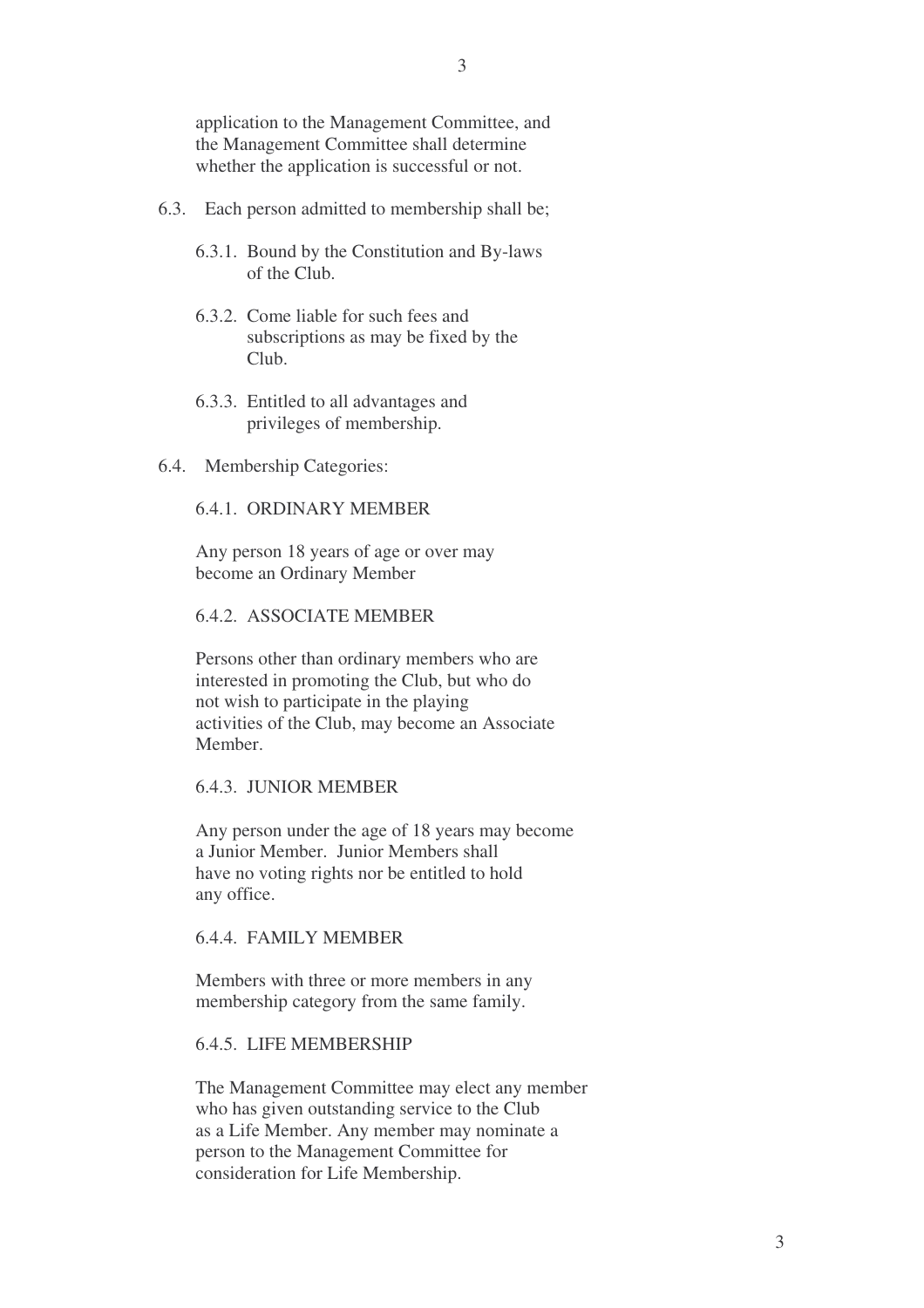application to the Management Committee, and the Management Committee shall determine whether the application is successful or not.

- 6.3. Each person admitted to membership shall be;
	- 6.3.1. Bound by the Constitution and By-laws of the Club.
	- 6.3.2. Come liable for such fees and subscriptions as may be fixed by the Club.
	- 6.3.3. Entitled to all advantages and privileges of membership.
- 6.4. Membership Categories:

#### 6.4.1. ORDINARY MEMBER

Any person 18 years of age or over may become an Ordinary Member

6.4.2. ASSOCIATE MEMBER

Persons other than ordinary members who are interested in promoting the Club, but who do not wish to participate in the playing activities of the Club, may become an Associate Member.

#### 6.4.3. JUNIOR MEMBER

Any person under the age of 18 years may become a Junior Member. Junior Members shall have no voting rights nor be entitled to hold any office.

#### 6.4.4. FAMILY MEMBER

Members with three or more members in any membership category from the same family.

#### 6.4.5. LIFE MEMBERSHIP

The Management Committee may elect any member who has given outstanding service to the Club as a Life Member. Any member may nominate a person to the Management Committee for consideration for Life Membership.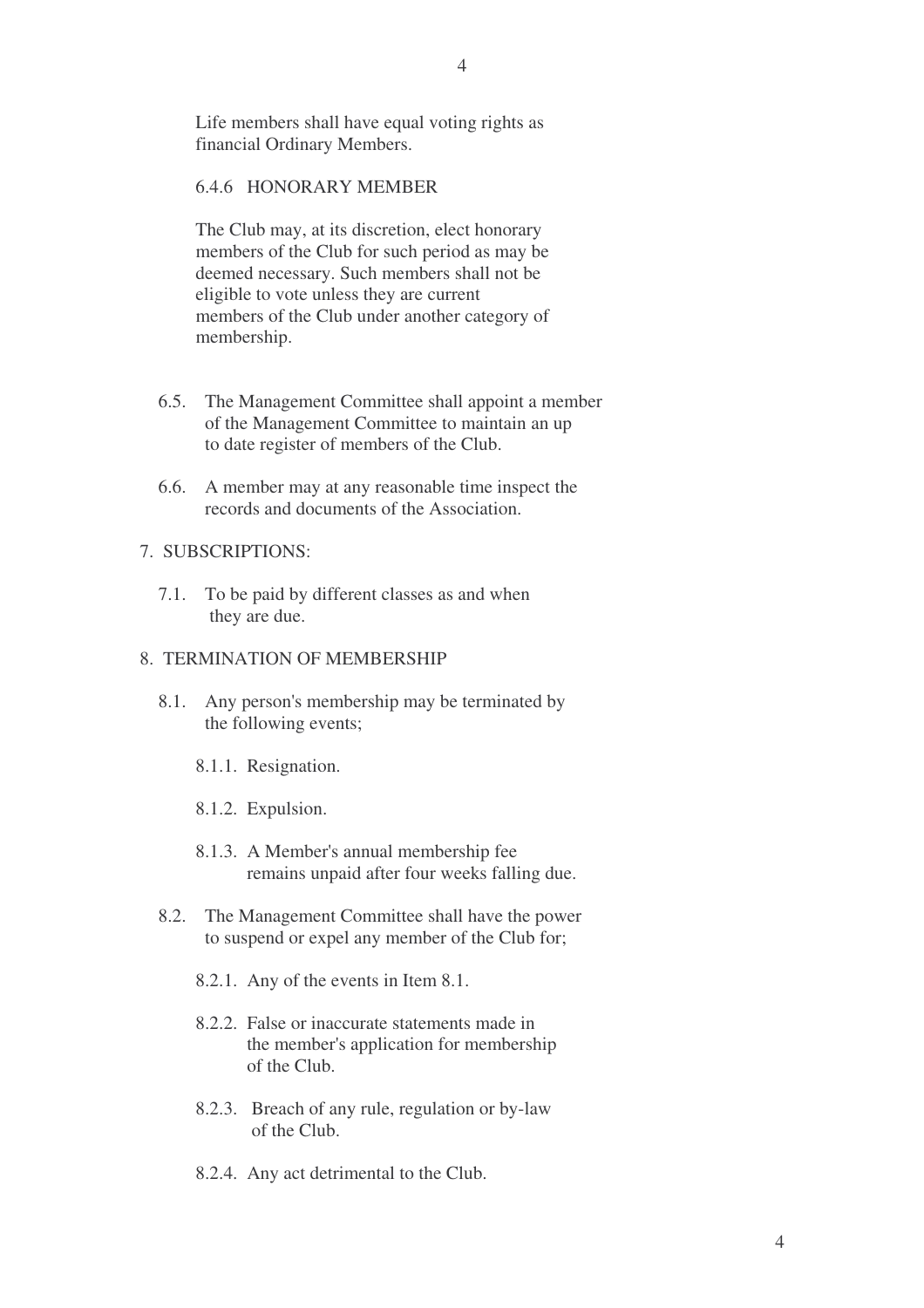Life members shall have equal voting rights as financial Ordinary Members.

# 6.4.6 HONORARY MEMBER

The Club may, at its discretion, elect honorary members of the Club for such period as may be deemed necessary. Such members shall not be eligible to vote unless they are current members of the Club under another category of membership.

- 6.5. The Management Committee shall appoint a member of the Management Committee to maintain an up to date register of members of the Club.
- 6.6. A member may at any reasonable time inspect the records and documents of the Association.

#### 7. SUBSCRIPTIONS:

7.1. To be paid by different classes as and when they are due.

#### 8. TERMINATION OF MEMBERSHIP

- 8.1. Any person's membership may be terminated by the following events;
	- 8.1.1. Resignation.
	- 8.1.2. Expulsion.
	- 8.1.3. A Member's annual membership fee remains unpaid after four weeks falling due.
- 8.2. The Management Committee shall have the power to suspend or expel any member of the Club for;
	- 8.2.1. Any of the events in Item 8.1.
	- 8.2.2. False or inaccurate statements made in the member's application for membership of the Club.
	- 8.2.3. Breach of any rule, regulation or by-law of the Club.
	- 8.2.4. Any act detrimental to the Club.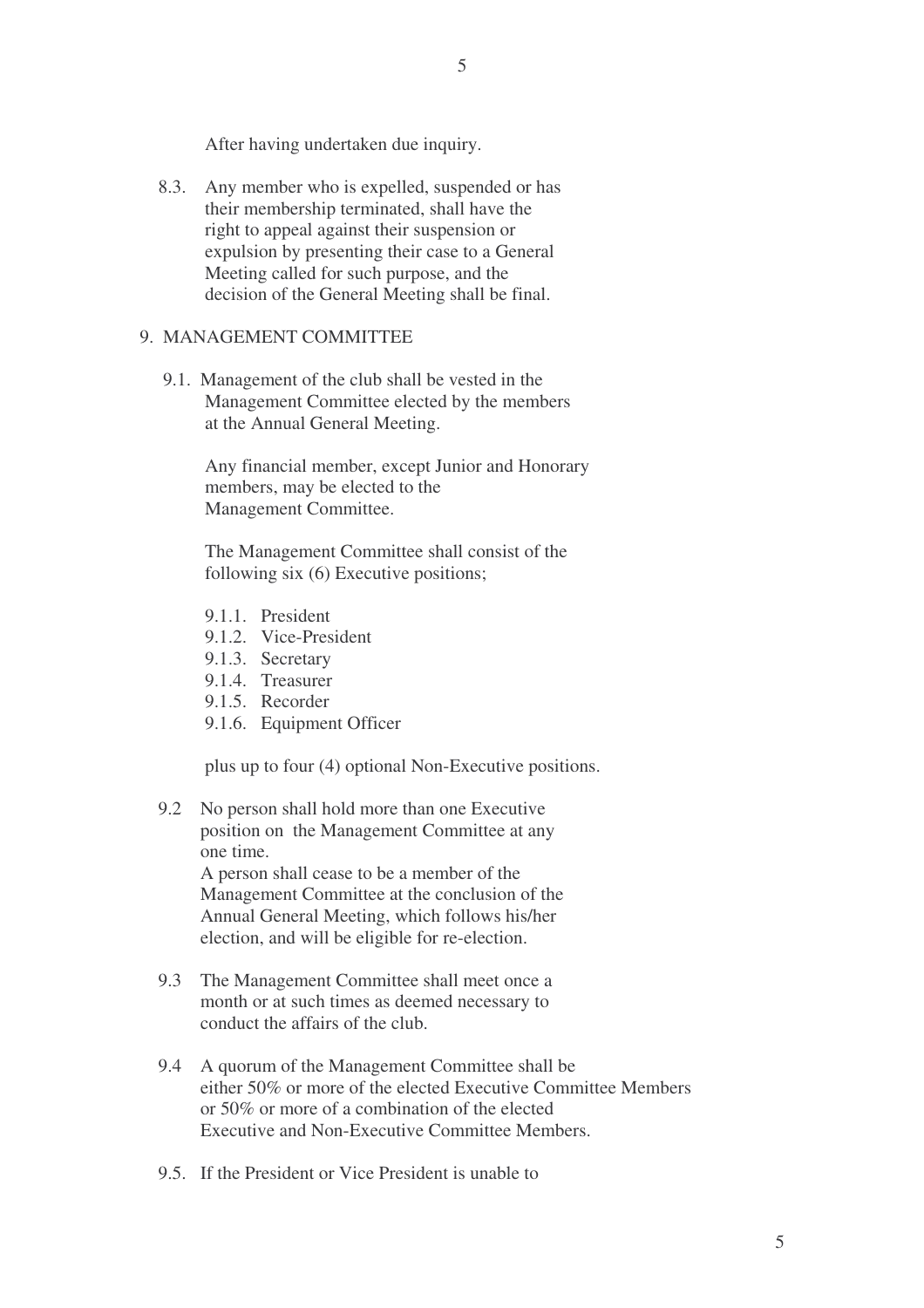5

After having undertaken due inquiry.

8.3. Any member who is expelled, suspended or has their membership terminated, shall have the right to appeal against their suspension or expulsion by presenting their case to a General Meeting called for such purpose, and the decision of the General Meeting shall be final.

# 9. MANAGEMENT COMMITTEE

9.1. Management of the club shall be vested in the Management Committee elected by the members at the Annual General Meeting.

> Any financial member, except Junior and Honorary members, may be elected to the Management Committee.

The Management Committee shall consist of the following six (6) Executive positions;

- 9.1.1. President
- 9.1.2. Vice-President
- 9.1.3. Secretary
- 9.1.4. Treasurer
- 9.1.5. Recorder
- 9.1.6. Equipment Officer

plus up to four (4) optional Non-Executive positions.

9.2 No person shall hold more than one Executive position on the Management Committee at any one time.

A person shall cease to be a member of the Management Committee at the conclusion of the Annual General Meeting, which follows his/her election, and will be eligible for re-election.

- 9.3 The Management Committee shall meet once a month or at such times as deemed necessary to conduct the affairs of the club.
- 9.4 A quorum of the Management Committee shall be either 50% or more of the elected Executive Committee Members or 50% or more of a combination of the elected Executive and Non-Executive Committee Members.
- 9.5. If the President or Vice President is unable to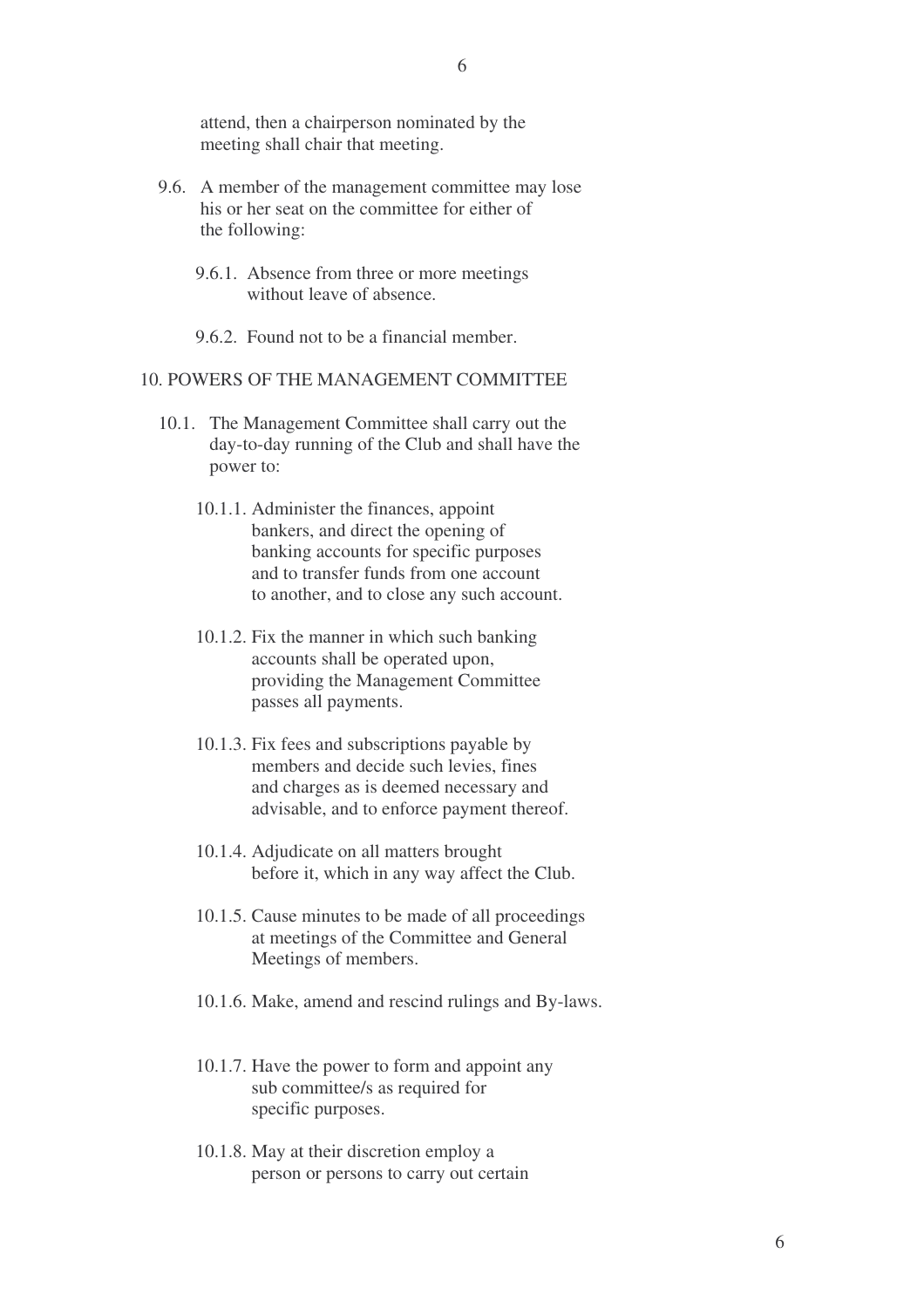attend, then a chairperson nominated by the meeting shall chair that meeting.

- 9.6. A member of the management committee may lose his or her seat on the committee for either of the following:
	- 9.6.1. Absence from three or more meetings without leave of absence.
	- 9.6.2. Found not to be a financial member.

#### 10. POWERS OF THE MANAGEMENT COMMITTEE

- 10.1. The Management Committee shall carry out the day-to-day running of the Club and shall have the power to:
	- 10.1.1. Administer the finances, appoint bankers, and direct the opening of banking accounts for specific purposes and to transfer funds from one account to another, and to close any such account.
	- 10.1.2. Fix the manner in which such banking accounts shall be operated upon, providing the Management Committee passes all payments.
	- 10.1.3. Fix fees and subscriptions payable by members and decide such levies, fines and charges as is deemed necessary and advisable, and to enforce payment thereof.
	- 10.1.4. Adjudicate on all matters brought before it, which in any way affect the Club.
	- 10.1.5. Cause minutes to be made of all proceedings at meetings of the Committee and General Meetings of members.
	- 10.1.6. Make, amend and rescind rulings and By-laws.
	- 10.1.7. Have the power to form and appoint any sub committee/s as required for specific purposes.
	- 10.1.8. May at their discretion employ a person or persons to carry out certain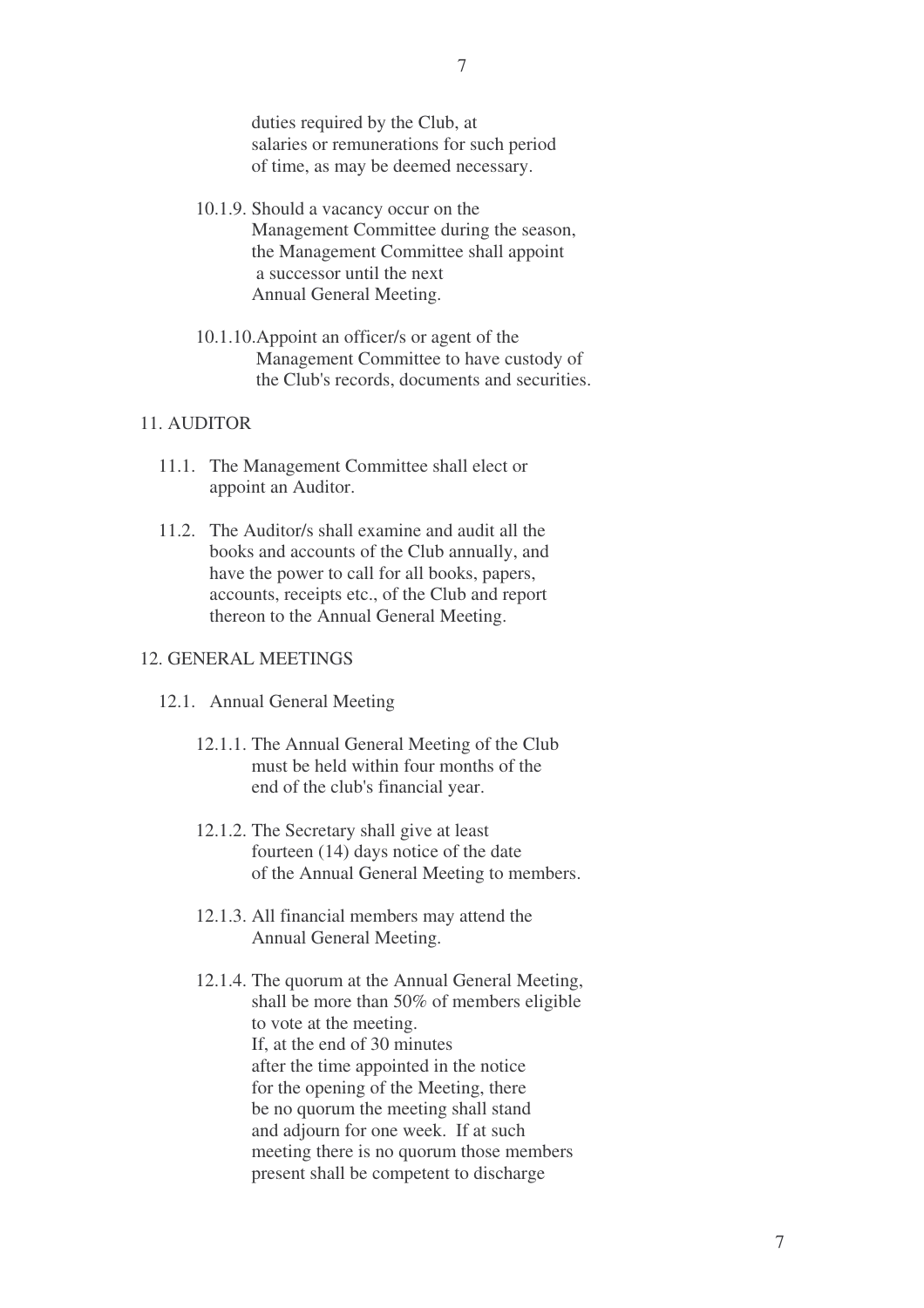duties required by the Club, at salaries or remunerations for such period of time, as may be deemed necessary.

- 10.1.9. Should a vacancy occur on the Management Committee during the season, the Management Committee shall appoint a successor until the next Annual General Meeting.
- 10.1.10.Appoint an officer/s or agent of the Management Committee to have custody of the Club's records, documents and securities.

# 11. AUDITOR

- 11.1. The Management Committee shall elect or appoint an Auditor.
- 11.2. The Auditor/s shall examine and audit all the books and accounts of the Club annually, and have the power to call for all books, papers, accounts, receipts etc., of the Club and report thereon to the Annual General Meeting.

# 12. GENERAL MEETINGS

- 12.1. Annual General Meeting
	- 12.1.1. The Annual General Meeting of the Club must be held within four months of the end of the club's financial year.
	- 12.1.2. The Secretary shall give at least fourteen (14) days notice of the date of the Annual General Meeting to members.
	- 12.1.3. All financial members may attend the Annual General Meeting.
	- 12.1.4. The quorum at the Annual General Meeting, shall be more than 50% of members eligible to vote at the meeting. If, at the end of 30 minutes after the time appointed in the notice for the opening of the Meeting, there be no quorum the meeting shall stand and adjourn for one week. If at such meeting there is no quorum those members present shall be competent to discharge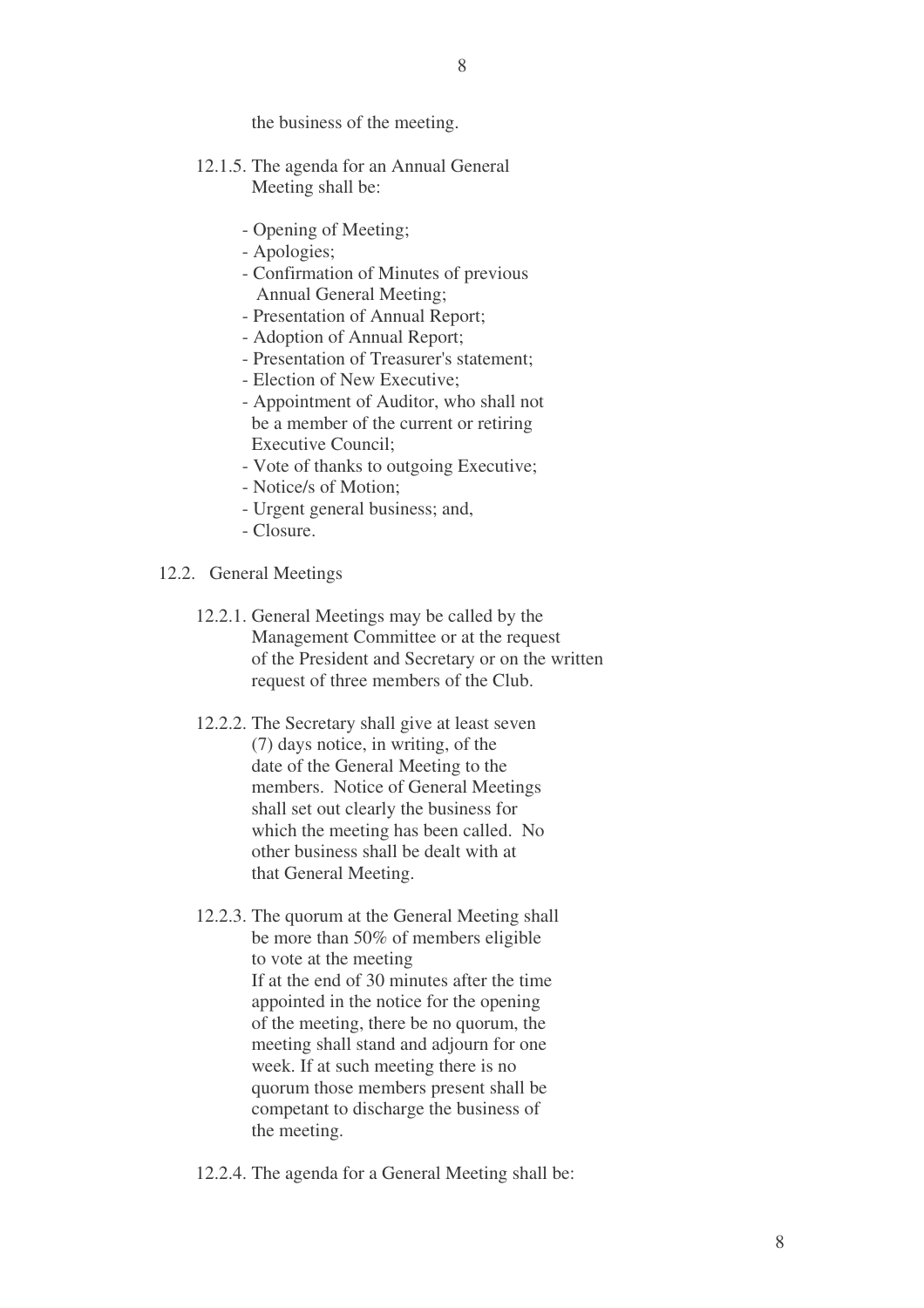the business of the meeting.

- 12.1.5. The agenda for an Annual General Meeting shall be:
	- Opening of Meeting;
	- Apologies;
	- Confirmation of Minutes of previous Annual General Meeting;
	- Presentation of Annual Report;
	- Adoption of Annual Report;
	- Presentation of Treasurer's statement;
	- Election of New Executive;
	- Appointment of Auditor, who shall not be a member of the current or retiring Executive Council;
	- Vote of thanks to outgoing Executive;
	- Notice/s of Motion;
	- Urgent general business; and,
	- Closure.
- 12.2. General Meetings
	- 12.2.1. General Meetings may be called by the Management Committee or at the request of the President and Secretary or on the written request of three members of the Club.
	- 12.2.2. The Secretary shall give at least seven (7) days notice, in writing, of the date of the General Meeting to the members. Notice of General Meetings shall set out clearly the business for which the meeting has been called. No other business shall be dealt with at that General Meeting.
	- 12.2.3. The quorum at the General Meeting shall be more than 50% of members eligible to vote at the meeting If at the end of 30 minutes after the time appointed in the notice for the opening of the meeting, there be no quorum, the meeting shall stand and adjourn for one week. If at such meeting there is no quorum those members present shall be competant to discharge the business of the meeting.
	- 12.2.4. The agenda for a General Meeting shall be: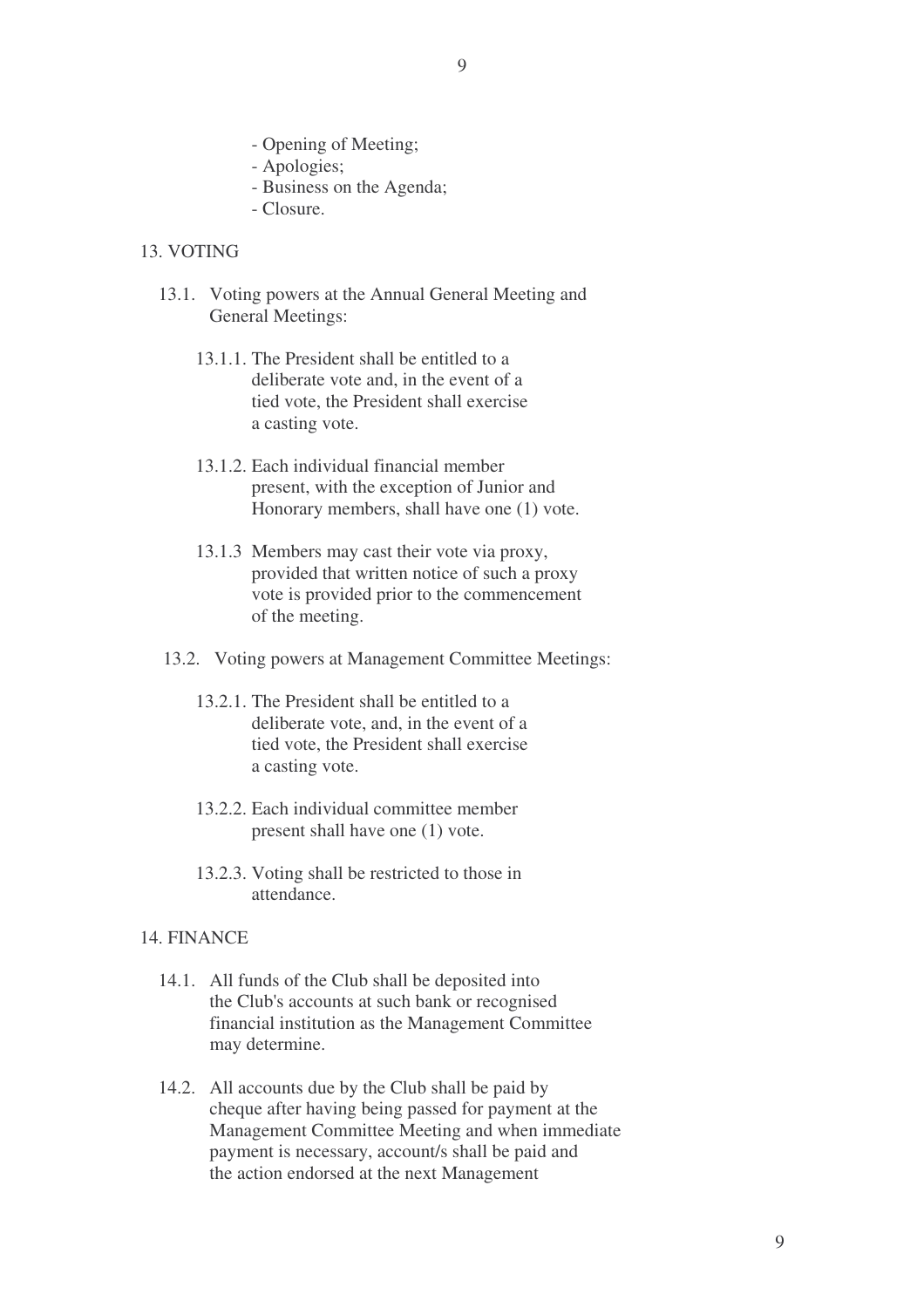- 9
- Opening of Meeting;
- Apologies;
- Business on the Agenda;
- Closure.

# 13. VOTING

- 13.1. Voting powers at the Annual General Meeting and General Meetings:
	- 13.1.1. The President shall be entitled to a deliberate vote and, in the event of a tied vote, the President shall exercise a casting vote.
	- 13.1.2. Each individual financial member present, with the exception of Junior and Honorary members, shall have one (1) vote.
	- 13.1.3 Members may cast their vote via proxy, provided that written notice of such a proxy vote is provided prior to the commencement of the meeting.
- 13.2. Voting powers at Management Committee Meetings:
	- 13.2.1. The President shall be entitled to a deliberate vote, and, in the event of a tied vote, the President shall exercise a casting vote.
	- 13.2.2. Each individual committee member present shall have one (1) vote.
	- 13.2.3. Voting shall be restricted to those in attendance.

# 14. FINANCE

- 14.1. All funds of the Club shall be deposited into the Club's accounts at such bank or recognised financial institution as the Management Committee may determine.
- 14.2. All accounts due by the Club shall be paid by cheque after having being passed for payment at the Management Committee Meeting and when immediate payment is necessary, account/s shall be paid and the action endorsed at the next Management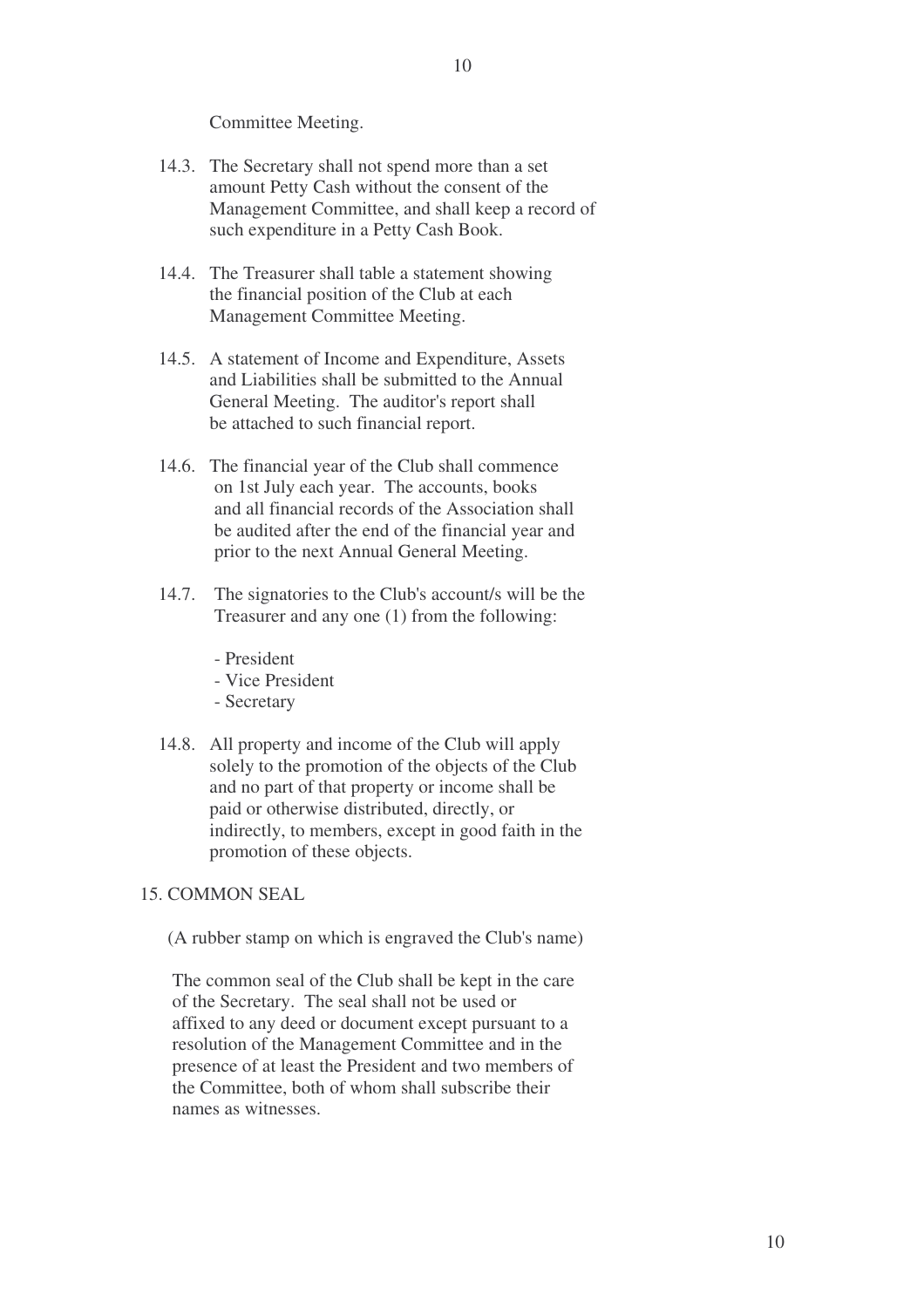Committee Meeting.

- 14.3. The Secretary shall not spend more than a set amount Petty Cash without the consent of the Management Committee, and shall keep a record of such expenditure in a Petty Cash Book.
- 14.4. The Treasurer shall table a statement showing the financial position of the Club at each Management Committee Meeting.
- 14.5. A statement of Income and Expenditure, Assets and Liabilities shall be submitted to the Annual General Meeting. The auditor's report shall be attached to such financial report.
- 14.6. The financial year of the Club shall commence on 1st July each year. The accounts, books and all financial records of the Association shall be audited after the end of the financial year and prior to the next Annual General Meeting.
- 14.7. The signatories to the Club's account/s will be the Treasurer and any one (1) from the following:
	- President
	- Vice President
	- Secretary
- 14.8. All property and income of the Club will apply solely to the promotion of the objects of the Club and no part of that property or income shall be paid or otherwise distributed, directly, or indirectly, to members, except in good faith in the promotion of these objects.
- 15. COMMON SEAL

(A rubber stamp on which is engraved the Club's name)

The common seal of the Club shall be kept in the care of the Secretary. The seal shall not be used or affixed to any deed or document except pursuant to a resolution of the Management Committee and in the presence of at least the President and two members of the Committee, both of whom shall subscribe their names as witnesses.